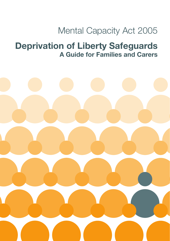## Mental Capacity Act 2005

## **Deprivation of Liberty Safeguards A Guide for Families and Carers**

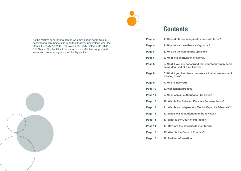

# **Contents**

| Page 4  | 1. When do these safeguards come into force?                                                |
|---------|---------------------------------------------------------------------------------------------|
| Page 4  | 2. Why do we have these safeguards?                                                         |
| Page 5  | 3. Who do the safeguards apply to?                                                          |
| Page 6  | 4. What is a deprivation of liberty?                                                        |
| Page 8  | 5. What if you are concerned that your family member is<br>being deprived of their liberty? |
| Page 8  | 6. What if you hear from the service that an assessment<br>is being done?                   |
| Page 9  | 7. Who is involved?                                                                         |
| Page 10 | 8. Assessment process                                                                       |
| Page 11 | 9. When can an authorisation be given?                                                      |
| Page 12 | 10. Who is the Relevant Person's Representative?                                            |
| Page 13 | 11. Who is an Independent Mental Capacity Advocate?                                         |
| Page 13 | 12. When will an authorisation be reviewed?                                                 |
| Page 14 | 13. What is the Court of Protection?                                                        |
| Page 14 | 14. How are the safeguards monitored?                                                       |
| Page 15 | 15. What is the Code of Practice?                                                           |
| Page 15 | 16. Further information                                                                     |

As the relative or carer of a person who may spend some time in hospital or a care home, it is important that you understand what the Mental Capacity Act 2005 Deprivation of Liberty Safeguards (MCA DOLS) are. This leaflet will help you provide effective support and know who has what rights under this legislation.

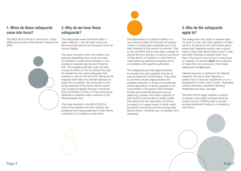### **1. When do these safeguards come into force?**

The MCA DOLS will be in force from 1 April 2009 and are part of the Mental Capacity Act 2005.



### **2. Why do we have these safeguards?**

The safeguards were introduced after a case called HL v the UK (also known as Bournewood) went to the European Court of Human Rights.

The case involved a man with autism and learning disabilities who could not make the decision himself about whether or not staying in hospital was the best thing for him. The hospital staff felt it was the best course of action for him to receive the care he needed but his carers disagreed and wanted to care for him at home. Because the hospital staff made the ultimate decision to keep him in hospital, this amounted to him being deprived of his liberty (which would only usually be legally allowed if someone had committed a crime or if they were being detained in hospital under a section of the Mental Health Act).

This case resulted in the MCA DOLS to ensure that people who lack capacity are protected from being deprived of their liberty unlawfully in a hospital or care home.

The deprivation of a person's liberty is a very serious matter and should not happen unless it is absolutely necessary and in the best interests of the person concerned. That is why the MCA DOLS have been created: to ensure that any decision to deprive someone of their liberty in hospital or a care home is made following defined processes and in consultation with specific authorities.

The safeguards provide legal protection for people who lack capacity who are or may be deprived of their liberty. They exist to provide a proper legal process and suitable protection in those circumstances where deprivation of liberty appears to be unavoidable in the person best interests. People are protected because anyone depriving a person who lacks capacity of their liberty must be able to clearly justify the reasons for the deprivation (it cannot be based on a vague notion of what might be best for someone) and the process also allows others, including you, to question and challenge.

### **3. Who do the safeguards apply to?**

The safeguards only apply to people aged 18 years or over, who lack capacity to make some or all decisions for themselves about where their treatment and/or care is given: need to have their liberty taken away in their own best interests to protect them from harm. They have to be living in a care home or hospital. If a person **does** have capacity to make their own decisions, then these safeguards do **not** apply.

'Mental capacity' is defined in the Mental Capacity Act and to lack capacity, a person has to 'have an impairment of, or a disturbance in their mind or brain'. Examples include dementia, significant learning disabilities and brain damage.

The MCA DOLS apply whether a person is placed under public arrangements (by a local council or NHS body) or private arrangements/self funding in a hospital or care home.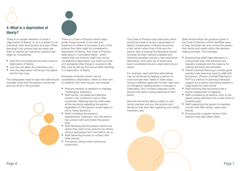

### **4. What is a deprivation of liberty?**

There is no simple definition of what a 'deprivation of liberty' is, as it is based on an individual, their environment and care. When deciding if any actions that are taken are likely to deprive an individual, people must begin by considering:

- what the circumstances are that involve a deprivation of liberty;
- how this will affect the individual: and
- how the deprivation will be put into place and for how long.

The safeguards make it clear that staff should consider what both the person concerned and you think in this process.



There is a Code of Practice which helps guide those involved in the care and treatment of others to be aware if any of the actions they take might be considered a deprivation of liberty. The Code of Practice talks about a 'cumulative effect', which means that one thing by itself may not be considered a deprivation, but when you look at it alongside other things in a person's life they may all add up and accumulate resulting in a deprivation of liberty.

Examples of factors which may be considered a deprivation, either on their own or together with other issues, can include:

- Physical restraint or sedation to manage 'challenging' behaviour.
- Staff having 'complete and effective control' over a person's care or their movement. Meaning that the staff make all the decisions regarding the person regardless of if the person would agree or not to these decisions.
- Staff controlling the person's assessments, treatment, who the person has contact with and where the person lives.
- Staff deciding that the person cannot live where they want or be cared for by others, without permission form the staff to do so.
- Staff restricting access to contact with other people.
- The person being under continuous supervision.

The Code of Practice says that every effort should be made to avoid a deprivation of liberty. A deprivation of liberty should be a last option rather than a first and the person who is making the decisions should consider all other options available and wherever possible choose a 'less restrictive' alternative. Only when all of these have been considered should a deprivation be an option.

For example, less restrictive alternatives may be achieved by helping a person to communicate their needs in other ways, having a different approach to their care such as changes to staffing levels or changes in medication. Any of these measures could prevent the person being deprived of their liberty.

Services should be able to justify to your family member and you the actions and decisions that they take regarding your family members care.

Staff should follow the guidance given in the Code of Practice which identifies ways to help minimise risk and involve the person their family and carers within the decision making process. This includes:-

- Ensuring that staff make decisions in a structured way, that decisions are regularly reviewed and the reasons for making decisions are recorded.
- Person Centred Planning or similar good practice care planning used by staff with the person. (Person Centred Planning or PCP is a method of planning individual support for a person and assist people to make plans for their future)
- Staff ensuring that the person has a proper assessment of capacity.
- Staff considering all options, prior to the person being admitted into a care home or hospital ward.
- Staff supporting the person to maintain contact with their family, carers and friends.
- Ensuring that a regular review of the persons care plan takes place.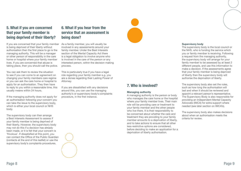### **5. What if you are concerned that your family member is being deprived of their liberty?**

If you are concerned that your family member is being deprived of their liberty without authorisation then the first place to go is the managing authority. This will be a manager or other person of responsibility in the care home or hospital where your family member lives. If you are concerned that abuse is taking place, then you should call the police.

You can ask them to review the situation to see if you can come to an agreement on changing your family members care regime or you can ask the care home or hospital to apply for an authorisation. They then have to reply to you within a reasonable time, this usually means within 24 hours.

If the managing authority does not apply for an authorisation following your concern you can take the issue to the supervisory body, which is either your local council or NHS body.

The supervisory body can then arrange a Best Interests Assessment to assess if your family member is being deprived of their liberty. However, the supervisory body may not do this if a decision has already been made, or it is felt that your concern is 'frivolous'. If dissatisfied at this point, you can contact the Office of the Public Guardian (contacts at the end of this leaflet) or use the supervisory body's complaints procedures.

### **6. What if you hear from the service that an assessment is being done?**

As a family member, you will usually be involved in any assessments around your family member. Under the Best Interests section of the Mental Capacity Act there is a legal obligation to involve anyone who is involved in the care of the person or any interested person, within the decision making process.

This is particularly true if you have a legal role regarding your family member e.g. you are a donee regarding their Lasting Power of Attorney.

If you are dissatisfied with any decisions around this, you can use the managing authority's or supervisory body's complaints procedure, in the first instance.



### **7. Who is involved?**

#### **Managing authority**

A managing authority is the person or body who manages the care home or the hospital where your family member lives. Their main role will be providing care or treatment to your family member and the other people who live there. It is their responsibility to be concerned about whether the care and treatment they are providing to your family member amounts to a deprivation of liberty, and to take actions to ensure that all other less restrictive options are considered, before deciding to make an application for a deprivation of liberty authorisation.

#### **Supervisory body**

The supervisory body is the local council or the NHS, who is funding the service which you or family member is receiving. Following a request from the managing authority, the supervisory body will arrange for your family member to be assessed by at least 2 different people, and use this information to make a decision. If the assessments agree that your family member is being deprived of liberty then the supervisory body will authorise the deprivation of liberty.

The supervisory body also set the rules, such as how long the authorisation will last and when it should be reviewed and appoint a relevant person's representative. The Supervisory Body is also responsible for providing an Independent Mental Capacity Advocate (IMCA) for extra support where needed (see later section on IMCA's).

The supervisory body also makes decisions about when an authorisation meets the criteria for review.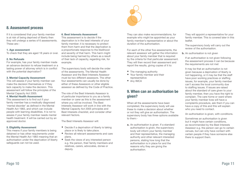

### **8. Assessment process**

If it is considered that your family member is at risk of being deprived of liberty then they will undergo a series of 6 assessments. These are:-

#### **1. Age assessment**

To check that they are aged 18 years or over.

#### **2. No Refusals**

For example, has your family member made an advance decision to refuse treatment or a lasting power of attorney which is in conflict with the potential deprivation?

#### **3. Mental Capacity Assessment**

This will assess if your family member can make the decision themselves or if they lack capacity to make the decision. This assessment will follow the principles of the Mental Capacity Act 2005.

#### **4. Mental Health Assessment**

This assessment is to find out if your family member has a medically diagnosed 'mental disorder' as defined in the Mental Health Act 1983, and which can include people with learning disabilities. It is not to assess if your family member needs mental health treatment. It will be carried out by an approved doctor.

#### **5. Eligibility Assessment**

This means if your family members is being detained or has other requirements under the Mental Health Act 1983 meaning that an authorisation under the deprivation of liberty safeguards can not be used.

#### **6. Best Interests Assessment**

This assessment is to decide if the deprivation is in the best interests of your family member; it is necessary to protect them from harm and that the deprivation is a proportionate response to the likelihood and severity of that harm. This harm might include being harmed by others as a result of their lack of capacity, regarding risk, for example.

The supervisory body will decide the order of the assessments. The Mental Health Assessor and the Best Interests Assessor must be two different assessors. The other four assessments can usually be done by either of these Assessors or other eligible assessor as defined by the Code of Practice.

The role of the Best Interests Assessor is of particular importance to you as a family member or carer as this is the assessment where you will be involved. The Best Interests Assessor will work in line with the Mental Capacity Act 2005 principles and Best Interests checklist, and consider other relevant factors.

The Best Interests Assessor will:

- Decide if a deprivation of liberty is taking place or is likely to take place.
- Review all relevant assessments and care plans.
- Seek the views of any interested person e.g. the person, their family members and relatives, carers, advocates, donee or deputy.

They can also make recommendations, for example who might be appointed as your family member's representative or about the duration of the authorisation.

For each of the other five assessments, the relevant assessor will gather the information about your family member that is required by the criteria for that particular assessment. They will then record their assessment and report the results, giving copies of it to:

- The managing authority
- Your family member and their representative
- Any IMCA

### **9. When can an authorisation be given?**

When all the assessments have been completed, the supervisory body will use these to make a decision about whether or not they will give an authorisation. The supervisory body has three options available to them:-

a. An authorisation is given. If a standard authorisation is given, the supervisory body will inform your family member and their representative, the managing authority and other relevant interested persons, stating how long that the authorisation is in place for and the reasons why they are giving the authorisation.

They will appoint a representative for your family member. This is covered later in this leaflet.

The supervisory body will carry out the review of the authorisation.

**b.** An authorisation is not given

If an authorisation is not given following the assessment process it can be because the requirements are not met

It may be that an authorisation is not given because a deprivation of liberty is not happening, or it may be that the staff have poor working practices or staffing issues, for example, your family member can't access the local community due to staffing issues. If issues are raised about the standard of care given to your family member, then you have the right to complain. The care home or ward where your family member lives will have a complaints procedure, ask them if you can have a copy of this and this will explain who you need to contact.

An authorisation is given, with conditions.

Sometimes an authorisation is given but it might have certain conditions, as recommended by the Best Interests Assessor e.g. the person can go to certain venues, but can only have contact with certain people if they have someone else there to support them.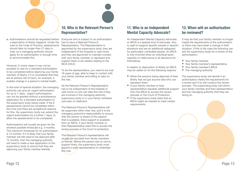

c. Authorisations should be requested before a deprivation of liberty happens. Under the rules in the Code of Practice, assessments should take no longer than 21 days in total, so a managing authority should apply for an authorisation in enough time to accommodate this.

However, in some cases it may not be possible to wait for a standard authorisation to be completed before depriving your family member of liberty, if it is considered that they are at serious risk of harm, for example, a sudden change in a person's mental health.

In this kind of special situation, the managing authority can give an urgent authorisation for up to 7 days.. Urgent authorisations can not be granted without a simultaneous application for a standard authorisation to the supervisory body being made. If the 6 assessments cannot be completed within this time and there are exceptional reasons for this, the supervisory body can extend the urgent authorisation by a further 7 days, to allow the assessments to be completed.

Authorisations will usually be given for the shortest possible timescale e.g. 3 months. The maximum timescale for an authorisation is 12 months. If it is likely that your family member will still need to be deprived after 12 months, then the managing authority will need to make a new application to the supervisory body to ensure that they are depriving your family member lawfully.

### **10. Who is the Relevant Person's Representative?**

Everyone who is subject to an authorisation has to have a Relevant Person's Representative. The Representative is appointed by the supervisory body, they are independent of the hospital or care home and they are appointed to maintain contact with your family member, to represent and support them in all matters relating to the MCA DOLS.

To be the representative, you need to be over 18 years of age, able to keep in contact with your family member and willing to take on the role.

As the Relevant Person's Representative has to be independent of the hospital or care home no one can take this role if they are involved in the managing authority, supervisory body or in your family members care plan or treatment.

The Relevant Person's Representative will be supported within their role, and it is the managing authority's responsibility to ensure that this person is aware of the support that is available. Extra support is available from an IMCA, if your family member or their Representative need this to access the review process or the Court of protection.

The Relevant Person's representative will usually be recruited from family members or friends. Where the person has no one to support them, the supervisory body must appoint a paid representative to undertake this role.

### **11. Who is an Independent Mental Capacity Advocate?**

An Independent Mental Capacity Advocate or IMCA is a special kind of advocate, who is used to support specific people in specific situations and are an additional safeguard for particularly vulnerable people. An IMCA is only involved when an individual lacks capacity to make some or all decisions for themselves.

In relation to deprivation of liberty an IMCA may be called on for the following reasons:

- When the persons being deprived of their liberty has not got anyone else who can represent them.
- If your family member or their representative requests additional support from the IMCA to access the review process or the Court of Protection.
- If the supervisory body feels that an IMCA might be needed to meet certain requirements.

### **12. When will an authorisation be reviewed?**

It may be that your family member no longer meets the requirements of the authorisation or there may have been a change in their situation. If this is the case the following can ask the supervisory body for a review of the authorisation:-

- Your family member
- Your family member's representative
- Your family member's IMCA
- The managing authority

The supervisory body will decide if an authorisation meets the requirements for a review and if so will conduct the review process. The supervising body will inform your family member and their representative and the managing authority that they are doing so.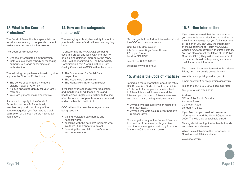### **13. What is the Court of Protection?**

The Court of Protection is a specialist court for all issues relating to people who cannot make some decisions for themselves.

The Court of Protection can:

- Change or terminate an authorisation
- Instruct a supervisory body or managing authority to change or terminate an authorisation.

The following people have automatic right to apply to the Court of Protection:-

- The donee of your family member's Lasting Power of Attorney
- A court appointed deputy for your family member.
- Your family member's representative

If you want to apply to the Court of Protection on behalf of your family member but you do not fit any of the above categories, you first have to obtain permission of the court before making an application.

### **14. How are the safeguards monitored?**

The managing authority has a duty to monitor your family member's situation on an ongoing basis.

To ensure that the MCA DOLS are being used in a proper and legal way and that no one is being detained improperly, the MCA DOLS will be monitored by The Care Quality Commission. From 1 April 2009 The Care Quality Commission (CQC) will replace the:-

- The Commission for Social Care Inspection
- The Healthcare Commission
- The Mental Health Act Commission

It will take over responsibility for regulation and monitoring all adult social care and health across England, in addition to looking after the interests of people who are detained under the Mental Health Act.

CQC will monitor how the safeguards are being used by:-

- visiting registered care homes and hospital wards
- speaking with the patients/ residents who live there (if appropriate to do so)
- Checking the hospital or home's records and documentation.

You can get hold of further information about the CQC and their role from:-

Care Quality Commission 7th Floor, New Kings Beam House 22 Upper Ground London SE1 9BW

Telephone: 03000 616161

Website: www.cqc.org.uk

### **15. What is the Code of Practice?**

To find out more information about the MCA DOLS there is a Code of Practice, which is a 'rule book' for people who are involved to follow. It is a useful resource and the following people have to follow it, to make sure that they are acting in a lawful way:-

- Anyone who has a role which relates to the MCA DOLS
- Anyone who acts as a 'relevant person's representative'.

You can get a copy of the Code of Practice to download from www.publicguardian. gov.uk or you can get a hard copy from the Stationary Office www.tso.co.uk

### **16. Further information**

If you are concerned that the person who you care for is being detained or deprived of their liberty in a way that you feel is not right or legal then you can view the information of the Department of Health MCA DOLS website (www.dh.gov.uk) in the first instance. You can also contact the Office of the Public Guardian (OPG).They will advise you what to do or what should be happening and are a useful source of information.

The opening hours are 9am – 5pm Monday – Friday and their details are as follows:

Website: www.publicguardian.gov.uk

Email: custserv@publicguardian.gsi.gov.uk

Telephone: 0845 330 2900 (local call rate)

Text phone: 020 7664 7755

Address: Office of the Public Guardian Archway Tower 2 Junction Road London N19 5SZ

If you feel that you need to know more information around the Mental Capacity Act 2005. There is a guide available called:

Making decisions A guide for family, friends and other unpaid carers

Which is available from the Department of Constitutional Affairs website:

www.dca.gov.uk